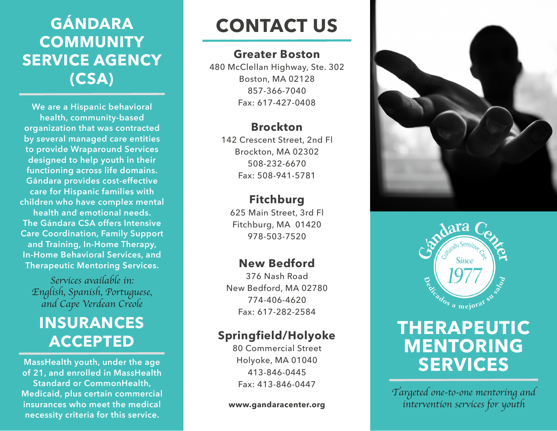## **GÁNDARA COMMUNITY SERVICE AGENCY (CSA)**

**We are a Hispanic behavioral health, community-based organization that was contracted by several managed care entities to provide Wraparound Services designed to help youth in their functioning across life domains. Gándara provides cost-effective care for Hispanic families with children who have complex mental health and emotional needs. The Gándara CSA offers Intensive Care Coordination, Family Support and Training, In-Home Therapy, In-Home Behavioral Services, and Therapeutic Mentoring Services.**

*Services available in: English, Spanish, Portuguese, and Cape Verdean Creole*

### **INSURANCES ACCEPTED**

**MassHealth youth, under the age of 21, and enrolled in MassHealth Standard or CommonHealth, Medicaid, plus certain commercial insurances who meet the medical necessity criteria for this service.**

# **CONTACT US**

#### **Greater Boston**

480 McClellan Highway, Ste. 302 Boston, MA 02128 857-366-7040 Fax: 617-427-0408

#### **Brockton**

142 Crescent Street, 2nd Fl Brockton, MA 02302 508-232-6670 Fax: 508-941-5781

#### **Fitchburg**

625 Main Street, 3rd Fl Fitchburg, MA 01420 978-503-7520

#### **New Bedford**

376 Nash Road New Bedford, MA 02780 774-406-4620 Fax: 617-282-2584

#### **Springfield/Holyoke**

80 Commercial Street Holyoke, MA 01040 413-846-0445 Fax: 413-846-0447

**www.gandaracenter.org**





### **THERAPEUTIC MENTORING SERVICES**

*Targeted one-to-one mentoring and intervention services for youth*